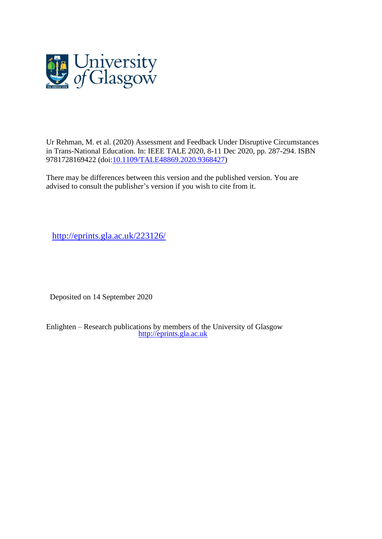

Ur Rehman, M. et al. (2020) Assessment and Feedback Under Disruptive Circumstances in Trans-National Education. In: IEEE TALE 2020, 8-11 Dec 2020, pp. 287-294. ISBN 9781728169422 (doi[:10.1109/TALE48869.2020.9368427\)](http://dx.doi.org/10.1109/TALE48869.2020.9368427)

There may be differences between this version and the published version. You are advised to consult the publisher's version if you wish to cite from it.

<http://eprints.gla.ac.uk/223126/>

Deposited on 14 September 2020

Enlighten – Research publications by members of the University of Glasgow [http://eprints.gla.ac.uk](http://eprints.gla.ac.uk/)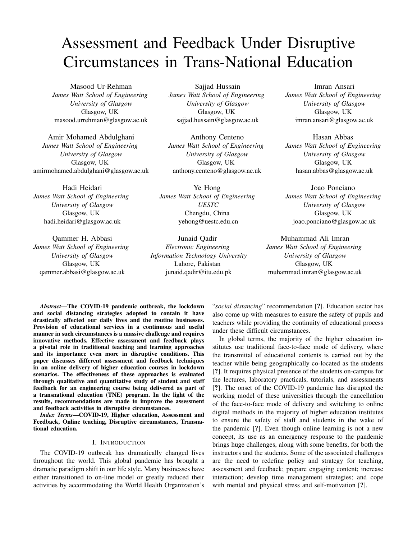# Assessment and Feedback Under Disruptive Circumstances in Trans-National Education

Masood Ur-Rehman *James Watt School of Engineering University of Glasgow* Glasgow, UK masood.urrehman@glasgow.ac.uk

Amir Mohamed Abdulghani *James Watt School of Engineering University of Glasgow* Glasgow, UK amirmohamed.abdulghani@glasgow.ac.uk

Hadi Heidari *James Watt School of Engineering University of Glasgow* Glasgow, UK hadi.heidari@glasgow.ac.uk

Qammer H. Abbasi *James Watt School of Engineering University of Glasgow* Glasgow, UK qammer.abbasi@glasgow.ac.uk

Sajjad Hussain *James Watt School of Engineering University of Glasgow* Glasgow, UK sajjad.hussain@glasgow.ac.uk

Anthony Centeno *James Watt School of Engineering University of Glasgow* Glasgow, UK anthony.centeno@glasgow.ac.uk

Ye Hong *James Watt School of Engineering UESTC* Chengdu, China yehong@uestc.edu.cn

Junaid Qadir *Electronic Engineering Information Technology University* Lahore, Pakistan junaid.qadir@itu.edu.pk

Imran Ansari *James Watt School of Engineering University of Glasgow* Glasgow, UK imran.ansari@glasgow.ac.uk

Hasan Abbas *James Watt School of Engineering University of Glasgow* Glasgow, UK hasan.abbas@glasgow.ac.uk

Joao Ponciano *James Watt School of Engineering University of Glasgow* Glasgow, UK joao.ponciano@glasgow.ac.uk

Muhammad Ali Imran

*James Watt School of Engineering University of Glasgow* Glasgow, UK muhammad.imran@glasgow.ac.uk

*Abstract*—The COVID-19 pandemic outbreak, the lockdown and social distancing strategies adopted to contain it have drastically affected our daily lives and the routine businesses. Provision of educational services in a continuous and useful manner in such circumstances is a massive challenge and requires innovative methods. Effective assessment and feedback plays a pivotal role in traditional teaching and learning approaches and its importance even more in disruptive conditions. This paper discusses different assessment and feedback techniques in an online delivery of higher education courses in lockdown scenarios. The effectiveness of these approaches is evaluated through qualitative and quantitative study of student and staff feedback for an engineering course being delivered as part of a transnational education (TNE) program. In the light of the results, recommendations are made to improve the assessment and feedback activities in disruptive circumstances.

*Index Terms*—COVID-19, Higher education, Assessment and Feedback, Online teaching, Disruptive circumstances, Transnational education.

#### I. INTRODUCTION

The COVID-19 outbreak has dramatically changed lives throughout the world. This global pandemic has brought a dramatic paradigm shift in our life style. Many businesses have either transitioned to on-line model or greatly reduced their activities by accommodating the World Health Organization's

"*social distancing*" recommendation [?]. Education sector has also come up with measures to ensure the safety of pupils and teachers while providing the continuity of educational process under these difficult circumstances.

In global terms, the majority of the higher education institutes use traditional face-to-face mode of delivery, where the transmittal of educational contents is carried out by the teacher while being geographically co-located as the students [?]. It requires physical presence of the students on-campus for the lectures, laboratory practicals, tutorials, and assessments [?]. The onset of the COVID-19 pandemic has disrupted the working model of these universities through the cancellation of the face-to-face mode of delivery and switching to online digital methods in the majority of higher education institutes to ensure the safety of staff and students in the wake of the pandemic [?]. Even though online learning is not a new concept, its use as an emergency response to the pandemic brings huge challenges, along with some benefits, for both the instructors and the students. Some of the associated challenges are the need to redefine policy and strategy for teaching, assessment and feedback; prepare engaging content; increase interaction; develop time management strategies; and cope with mental and physical stress and self-motivation [?].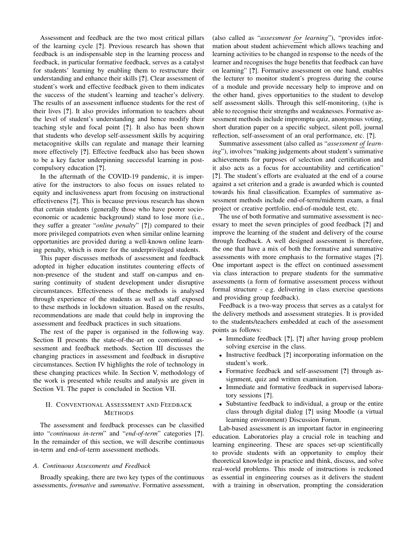Assessment and feedback are the two most critical pillars of the learning cycle [?]. Previous research has shown that feedback is an indispensable step in the learning process and feedback, in particular formative feedback, serves as a catalyst for students' learning by enabling them to restructure their understanding and enhance their skills [?]. Clear assessment of student's work and effective feedback given to them indicates the success of the student's learning and teacher's delivery. The results of an assessment influence students for the rest of their lives [?]. It also provides information to teachers about the level of student's understanding and hence modify their teaching style and focal point [?]. It also has been shown that students who develop self-assessment skills by acquiring metacognitive skills can regulate and manage their learning more effectively [?]. Effective feedback also has been shown to be a key factor underpinning successful learning in postcompulsory education [?].

In the aftermath of the COVID-19 pandemic, it is imperative for the instructors to also focus on issues related to equity and inclusiveness apart from focusing on instructional effectiveness [?]. This is because previous research has shown that certain students (generally those who have poorer socioeconomic or academic background) stand to lose more (i.e., they suffer a greater "*online penalty*" [?]) compared to their more privileged compatriots even when similar online learning opportunities are provided during a well-known online learning penalty, which is more for the underprivileged students.

This paper discusses methods of assessment and feedback adopted in higher education institutes countering effects of non-presence of the student and staff on-campus and ensuring continuity of student development under disruptive circumstances. Effectiveness of these methods is analysed through experience of the students as well as staff exposed to these methods in lockdown situation. Based on the results, recommendations are made that could help in improving the assessment and feedback practices in such situations.

The rest of the paper is organised in the following way. Section II presents the state-of-the-art on conventional assessment and feedback methods. Section III discusses the changing practices in assessment and feedback in disruptive circumstances. Section IV highlights the role of technology in these changing practices while. In Section V, methodology of the work is presented while results and analysis are given in Section VI. The paper is concluded in Section VII.

## II. CONVENTIONAL ASSESSMENT AND FEEDBACK METHODS

The assessment and feedback processes can be classified into "*continuous in-term*" and "*end-of-term*" categories [?]. In the remainder of this section, we will describe continuous in-term and end-of-term assessment methods.

#### *A. Continuous Assessments and Feedback*

Broadly speaking, there are two key types of the continuous assessments, *formative* and *summative*. Formative assessment, (also called as "*assessment for learning*"), "provides information about student achievement which allows teaching and learning activities to be changed in response to the needs of the learner and recognises the huge benefits that feedback can have on learning" [?]. Formative assessment on one hand, enables the lecturer to monitor student's progress during the course of a module and provide necessary help to improve and on the other hand, gives opportunities to the student to develop self assessment skills. Through this self-monitoring, (s)he is able to recognise their strengths and weaknesses. Formative assessment methods include impromptu quiz, anonymous voting, short duration paper on a specific subject, silent poll, journal reflection, self-assessment of an oral performance, etc. [?].

Summative assessment (also called as "*assessment of learning*"), involves "making judgements about student's summative achievements for purposes of selection and certification and it also acts as a focus for accountability and certification" [?]. The student's efforts are evaluated at the end of a course against a set criterion and a grade is awarded which is counted towards his final classification. Examples of summative assessment methods include end-of-term/midterm exam, a final project or creative portfolio, end-of-module test, etc.

The use of both formative and summative assessment is necessary to meet the seven principles of good feedback [?] and improve the learning of the student and delivery of the course through feedback. A well designed assessment is therefore, the one that have a mix of both the formative and summative assessments with more emphasis to the formative stages [?]. One important aspect is the effect on continued assessment via class interaction to prepare students for the summative assessments (a form of formative assessment process without formal structure - e.g. delivering in class exercise questions and providing group feedback).

Feedback is a two-way process that serves as a catalyst for the delivery methods and assessment strategies. It is provided to the students/teachers embedded at each of the assessment points as follows:

- Immediate feedback [?], [?] after having group problem solving exercise in the class.
- Instructive feedback [?] incorporating information on the student's work.
- Formative feedback and self-assessment [?] through assignment, quiz and written examination.
- Immediate and formative feedback in supervised laboratory sessions [?].
- Substantive feedback to individual, a group or the entire class through digital dialog [?] using Moodle (a virtual learning environment) Discussion Forum.

Lab-based assessment is an important factor in engineering education. Laboratories play a crucial role in teaching and learning engineering. These are spaces set-up scientifically to provide students with an opportunity to employ their theoretical knowledge in practice and think, discuss, and solve real-world problems. This mode of instructions is reckoned as essential in engineering courses as it delivers the student with a training in observation, prompting the consideration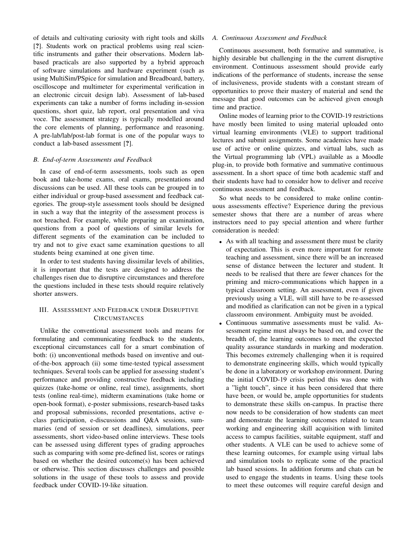of details and cultivating curiosity with right tools and skills [?]. Students work on practical problems using real scientific instruments and gather their observations. Modern labbased practicals are also supported by a hybrid approach of software simulations and hardware experiment (such as using MultiSim/PSpice for simulation and Breadboard, battery, oscilloscope and multimeter for experimental verification in an electronic circuit design lab). Assessment of lab-based experiments can take a number of forms including in-session questions, short quiz, lab report, oral presentation and viva voce. The assessment strategy is typically modelled around the core elements of planning, performance and reasoning. A pre-lab/lab/post-lab format is one of the popular ways to conduct a lab-based assessment [?].

#### *B. End-of-term Assessments and Feedback*

In case of end-of-term assessments, tools such as open book and take-home exams, oral exams, presentations and discussions can be used. All these tools can be grouped in to either individual or group-based assessment and feedback categories. The group-style assessment tools should be designed in such a way that the integrity of the assessment process is not breached. For example, while preparing an examination, questions from a pool of questions of similar levels for different segments of the examination can be included to try and not to give exact same examination questions to all students being examined at one given time.

In order to test students having dissimilar levels of abilities, it is important that the tests are designed to address the challenges risen due to disruptive circumstances and therefore the questions included in these tests should require relatively shorter answers.

## III. ASSESSMENT AND FEEDBACK UNDER DISRUPTIVE CIRCUMSTANCES

Unlike the conventional assessment tools and means for formulating and communicating feedback to the students, exceptional circumstances call for a smart combination of both: (i) unconventional methods based on inventive and outof-the-box approach (ii) some time-tested typical assessment techniques. Several tools can be applied for assessing student's performance and providing constructive feedback including quizzes (take-home or online, real time), assignments, short tests (online real-time), midterm examinations (take home or open-book format), e-poster submissions, research-based tasks and proposal submissions, recorded presentations, active eclass participation, e-discussions and Q&A sessions, summaries (end of session or set deadlines), simulations, peer assessments, short video-based online interviews. These tools can be assessed using different types of grading approaches such as comparing with some pre-defined list, scores or ratings based on whether the desired outcome(s) has been achieved or otherwise. This section discusses challenges and possible solutions in the usage of these tools to assess and provide feedback under COVID-19-like situation.

#### *A. Continuous Assessment and Feedback*

Continuous assessment, both formative and summative, is highly desirable but challenging in the the current disruptive environment. Continuous assessment should provide early indications of the performance of students, increase the sense of inclusiveness, provide students with a constant stream of opportunities to prove their mastery of material and send the message that good outcomes can be achieved given enough time and practice.

Online modes of learning prior to the COVID-19 restrictions have mostly been limited to using material uploaded onto virtual learning environments (VLE) to support traditional lectures and submit assignments. Some academics have made use of active or online quizzes, and virtual labs, such as the Virtual programming lab (VPL) available as a Moodle plug-in, to provide both formative and summative continuous assessment. In a short space of time both academic staff and their students have had to consider how to deliver and receive continuous assessment and feedback.

So what needs to be considered to make online continuous assessments effective? Experience during the previous semester shows that there are a number of areas where instructors need to pay special attention and where further consideration is needed:

- As with all teaching and assessment there must be clarity of expectation. This is even more important for remote teaching and assessment, since there will be an increased sense of distance between the lecturer and student. It needs to be realised that there are fewer chances for the priming and micro-communications which happen in a typical classroom setting. An assessment, even if given previously using a VLE, will still have to be re-assessed and modified as clarification can not be given in a typical classroom environment. Ambiguity must be avoided.
- Continuous summative assessments must be valid. Assessment regime must always be based on, and cover the breadth of, the learning outcomes to meet the expected quality assurance standards in marking and moderation. This becomes extremely challenging when it is required to demonstrate engineering skills, which would typically be done in a laboratory or workshop environment. During the initial COVID-19 crisis period this was done with a "light touch", since it has been considered that there have been, or would be, ample opportunities for students to demonstrate these skills on-campus. In practise there now needs to be consideration of how students can meet and demonstrate the learning outcomes related to team working and engineering skill acquisition with limited access to campus facilities, suitable equipment, staff and other students. A VLE can be used to achieve some of these learning outcomes, for example using virtual labs and simulation tools to replicate some of the practical lab based sessions. In addition forums and chats can be used to engage the students in teams. Using these tools to meet these outcomes will require careful design and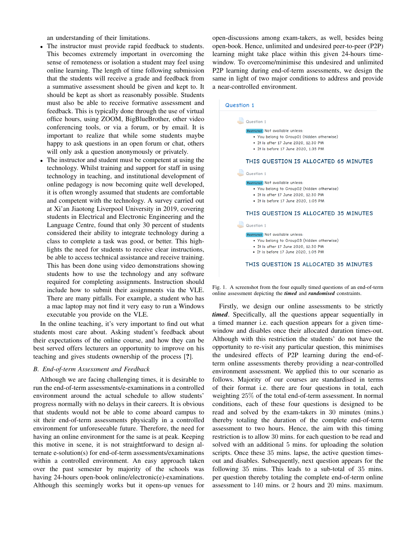an understanding of their limitations.

- The instructor must provide rapid feedback to students. This becomes extremely important in overcoming the sense of remoteness or isolation a student may feel using online learning. The length of time following submission that the students will receive a grade and feedback from a summative assessment should be given and kept to. It should be kept as short as reasonably possible. Students must also be able to receive formative assessment and feedback. This is typically done through the use of virtual office hours, using ZOOM, BigBlueBrother, other video conferencing tools, or via a forum, or by email. It is important to realize that while some students maybe happy to ask questions in an open forum or chat, others will only ask a question anonymously or privately.
- The instructor and student must be competent at using the technology. Whilst training and support for staff in using technology in teaching, and institutional development of online pedagogy is now becoming quite well developed, it is often wrongly assumed that students are comfortable and competent with the technology. A survey carried out at Xi'an Jiaotong Liverpool University in 2019, covering students in Electrical and Electronic Engineering and the Language Centre, found that only 30 percent of students considered their ability to integrate technology during a class to complete a task was good, or better. This highlights the need for students to receive clear instructions, be able to access technical assistance and receive training. This has been done using video demonstrations showing students how to use the technology and any software required for completing assignments. Instruction should include how to submit their assignments via the VLE. There are many pitfalls. For example, a student who has a mac laptop may not find it very easy to run a Windows executable you provide on the VLE.

In the online teaching, it's very important to find out what students most care about. Asking student's feedback about their expectations of the online course, and how they can be best served offers lecturers an opportunity to improve on his teaching and gives students ownership of the process [?].

#### *B. End-of-term Assessment and Feedback*

Although we are facing challenging times, it is desirable to run the end-of-term assessments/e-examinations in a controlled environment around the actual schedule to allow students' progress normally with no delays in their careers. It is obvious that students would not be able to come aboard campus to sit their end-of-term assessments physically in a controlled environment for unforeseeable future. Therefore, the need for having an online environment for the same is at peak. Keeping this motive in scene, it is not straightforward to design alternate e-solution(s) for end-of-term assessments/examinations within a controlled environment. An easy approach taken over the past semester by majority of the schools was having 24-hours open-book online/electronic(e)-examinations. Although this seemingly works but it opens-up venues for

open-discussions among exam-takers, as well, besides being open-book. Hence, unlimited and undesired peer-to-peer (P2P) learning might take place within this given 24-hours timewindow. To overcome/minimise this undesired and unlimited P2P learning during end-of-term assessments, we design the same in light of two major conditions to address and provide a near-controlled environment.



Fig. 1. A screenshot from the four equally timed questions of an end-of-term online assessment depicting the *timed* and *randomised* constraints.

Firstly, we design our online assessments to be strictly *timed*. Specifically, all the questions appear sequentially in a timed manner i.e. each question appears for a given timewindow and disables once their allocated duration times-out. Although with this restriction the students' do not have the opportunity to re-visit any particular question, this minimises the undesired effects of P2P learning during the end-ofterm online assessments thereby providing a near-controlled environment assessment. We applied this to our scenario as follows. Majority of our courses are standardised in terms of their format i.e. there are four questions in total, each weighting 25% of the total end-of-term assessment. In normal conditions, each of these four questions is designed to be read and solved by the exam-takers in 30 minutes (mins.) thereby totaling the duration of the complete end-of-term assessment to two hours. Hence, the aim with this timing restriction is to allow 30 mins. for each question to be read and solved with an additional 5 mins. for uploading the solution scripts. Once these 35 mins. lapse, the active question timesout and disables. Subsequently, next question appears for the following 35 mins. This leads to a sub-total of 35 mins. per question thereby totaling the complete end-of-term online assessment to 140 mins. or 2 hours and 20 mins. maximum.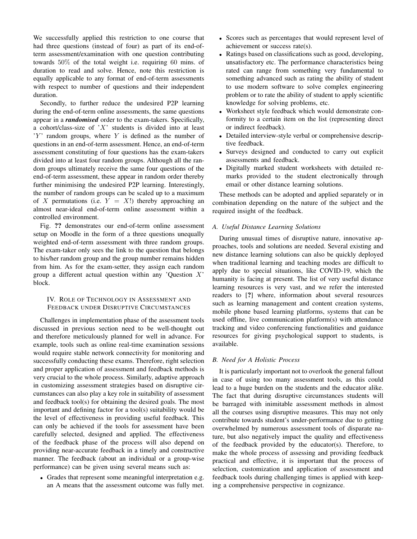We successfully applied this restriction to one course that had three questions (instead of four) as part of its end-ofterm assessment/examination with one question contributing towards 50% of the total weight i.e. requiring 60 mins. of duration to read and solve. Hence, note this restriction is equally applicable to any format of end-of-term assessments with respect to number of questions and their independent duration.

Secondly, to further reduce the undesired P2P learning during the end-of-term online assessments, the same questions appear in a *randomised* order to the exam-takers. Specifically, a cohort/class-size of  $'X'$  students is divided into at least  $'Y'$  random groups, where Y is defined as the number of questions in an end-of-term assessment. Hence, an end-of-term assessment constituting of four questions has the exam-takers divided into at least four random groups. Although all the random groups ultimately receive the same four questions of the end-of-term assessment, these appear in random order thereby further minimising the undesired P2P learning. Interestingly, the number of random groups can be scaled up to a maximum of X permutations (i.e.  $Y = X!$ ) thereby approaching an almost near-ideal end-of-term online assessment within a controlled environment.

Fig. ?? demonstrates our end-of-term online assessment setup on Moodle in the form of a three questions unequally weighted end-of-term assessment with three random groups. The exam-taker only sees the link to the question that belongs to his/her random group and the group number remains hidden from him. As for the exam-setter, they assign each random group a different actual question within any 'Question  $X$ ' block.

## IV. ROLE OF TECHNOLOGY IN ASSESSMENT AND FEEDBACK UNDER DISRUPTIVE CIRCUMSTANCES

Challenges in implementation phase of the assessment tools discussed in previous section need to be well-thought out and therefore meticulously planned for well in advance. For example, tools such as online real-time examination sessions would require stable network connectivity for monitoring and successfully conducting these exams. Therefore, right selection and proper application of assessment and feedback methods is very crucial to the whole process. Similarly, adaptive approach in customizing assessment strategies based on disruptive circumstances can also play a key role in suitability of assessment and feedback tool(s) for obtaining the desired goals. The most important and defining factor for a tool(s) suitability would be the level of effectiveness in providing useful feedback. This can only be achieved if the tools for assessment have been carefully selected, designed and applied. The effectiveness of the feedback phase of the process will also depend on providing near-accurate feedback in a timely and constructive manner. The feedback (about an individual or a group-wise performance) can be given using several means such as:

• Grades that represent some meaningful interpretation e.g. an A means that the assessment outcome was fully met.

- Scores such as percentages that would represent level of achievement or success rate(s).
- Ratings based on classifications such as good, developing, unsatisfactory etc. The performance characteristics being rated can range from something very fundamental to something advanced such as rating the ability of student to use modern software to solve complex engineering problem or to rate the ability of student to apply scientific knowledge for solving problems, etc.
- Worksheet style feedback which would demonstrate conformity to a certain item on the list (representing direct or indirect feedback).
- Detailed interview-style verbal or comprehensive descriptive feedback.
- Surveys designed and conducted to carry out explicit assessments and feedback.
- Digitally marked student worksheets with detailed remarks provided to the student electronically through email or other distance learning solutions.

These methods can be adopted and applied separately or in combination depending on the nature of the subject and the required insight of the feedback.

#### *A. Useful Distance Learning Solutions*

During unusual times of disruptive nature, innovative approaches, tools and solutions are needed. Several existing and new distance learning solutions can also be quickly deployed when traditional learning and teaching modes are difficult to apply due to special situations, like COVID-19, which the humanity is facing at present. The list of very useful distance learning resources is very vast, and we refer the interested readers to [?] where, information about several resources such as learning management and content creation systems, mobile phone based learning platforms, systems that can be used offline, live communication platform(s) with attendance tracking and video conferencing functionalities and guidance resources for giving psychological support to students, is available.

#### *B. Need for A Holistic Process*

It is particularly important not to overlook the general fallout in case of using too many assessment tools, as this could lead to a huge burden on the students and the educator alike. The fact that during disruptive circumstances students will be barraged with inimitable assessment methods in almost all the courses using disruptive measures. This may not only contribute towards student's under-performance due to getting overwhelmed by numerous assessment tools of disparate nature, but also negatively impact the quality and effectiveness of the feedback provided by the educator(s). Therefore, to make the whole process of assessing and providing feedback practical and effective, it is important that the process of selection, customization and application of assessment and feedback tools during challenging times is applied with keeping a comprehensive perspective in cognizance.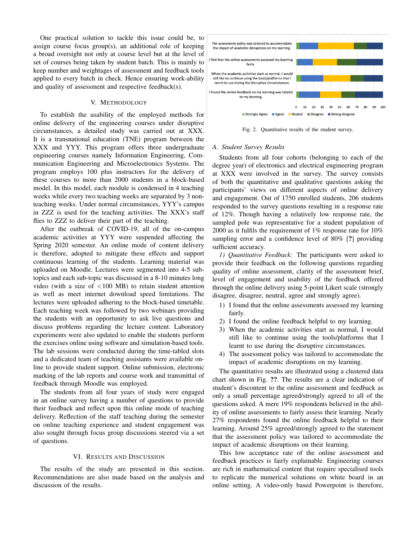One practical solution to tackle this issue could be, to assign course focus group(s), an additional role of keeping a broad oversight not only at course level but at the level of set of courses being taken by student batch. This is mainly to keep number and weightages of assessment and feedback tools applied to every batch in check. Hence ensuring work-ability and quality of assessment and respective feedback(s).

#### V. METHODOLOGY

To establish the usability of the employed methods for online delivery of the engineering courses under disruptive circumstances, a detailed study was carried out at XXX. It is a transnational education (TNE) program between the XXX and YYY. This program offers three undergraduate engineering courses namely Information Engineering, Communication Engineering and Microelectronics Systems. The program employs 100 plus instructors for the delivery of these courses to more than 2000 students in a block-based model. In this model, each module is condensed in 4 teaching weeks while every two teaching weeks are separated by 3 nonteaching weeks. Under normal circumstances, YYY's campus in ZZZ is used for the teaching activities. The XXX's staff flies to ZZZ to deliver their part of the teaching.

After the outbreak of COVID-19, all of the on-campus academic activities at YYY were suspended affecting the Spring 2020 semester. An online mode of content delivery is therefore, adopted to mitigate these effects and support continuous learning of the students. Learning material was uploaded on Moodle. Lectures were segmented into 4-5 subtopics and each sub-topic was discussed in a 8-10 minutes long video (with a size of  $\langle 100 \text{ MB} \rangle$  to retain student attention as well as meet internet download speed limitations. The lectures were uploaded adhering to the block-based timetable. Each teaching week was followed by two webinars providing the students with an opportunity to ask live questions and discuss problems regarding the lecture content. Laboratory experiments were also updated to enable the students perform the exercises online using software and simulation-based tools. The lab sessions were conducted during the time-tabled slots and a dedicated team of teaching assistants were available online to provide student support. Online submission, electronic marking of the lab reports and course work and transmittal of feedback through Moodle was employed.

The students from all four years of study were engaged in an online survey having a number of questions to provide their feedback and reflect upon this online mode of teaching delivery. Reflection of the staff teaching during the semester on online teaching experience and student engagement was also sought through focus group discussions steered via a set of questions.

#### VI. RESULTS AND DISCUSSION

The results of the study are presented in this section. Recommendations are also made based on the analysis and discussion of the results.



Fig. 2. Quantitative results of the student survey.

#### *A. Student Survey Results*

Students from all four cohorts (belonging to each of the degree year) of electronics and electrical engineering program at XXX were involved in the survey. The survey consists of both the quantitative and qualitative questions asking the participants' views on different aspects of online delivery and engagement. Out of 1750 enrolled students, 206 students responded to the survey questions resulting in a response rate of 12%. Though having a relatively low response rate, the sampled pole was representative for a student population of 2000 as it fulfils the requirement of 1% response rate for 10% sampling error and a confidence level of 80% [?] providing sufficient accuracy.

*1) Quantitative Feedback:* The participants were asked to provide their feedback on the following questions regarding quality of online assessment, clarity of the assessment brief, level of engagement and usability of the feedback offered through the online delivery using 5-point Likert scale (strongly disagree, disagree, neutral, agree and strongly agree).

- 1) I found that the online assessments assessed my learning fairly.
- 2) I found the online feedback helpful to my learning.
- 3) When the academic activities start as normal, I would still like to continue using the tools/platforms that I learnt to use during the disruptive circumstances.
- 4) The assessment policy was tailored to accommodate the impact of academic disruptions on my learning.

The quantitative results are illustrated using a clustered data chart shown in Fig. ??. The results are a clear indication of student's discontent to the online assessment and feedback as only a small percentage agreed/strongly agreed to all of the questions asked. A mere 19% respondents believed in the ability of online assessments to fairly assess their learning. Nearly 27% respondents found the online feedback helpful to their learning. Around 25% agreed/strongly agreed to the statement that the assessment policy was tailored to accommodate the impact of academic disruptions on their learning.

This low acceptance rate of the online assessment and feedback practices is fairly explainable. Engineering courses are rich in mathematical content that require specialised tools to replicate the numerical solutions on white board in an online setting. A video-only based Powerpoint is therefore,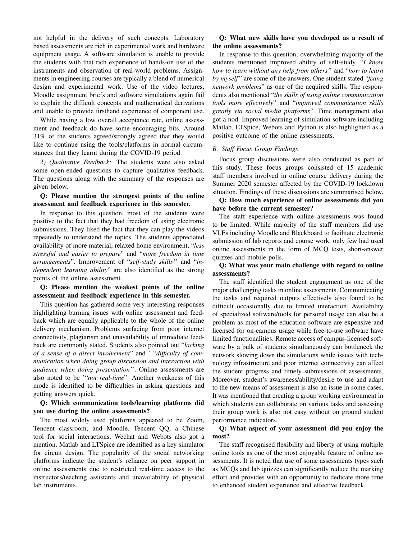not helpful in the delivery of such concepts. Laboratory based assessments are rich in experimental work and hardware equipment usage. A software simulation is unable to provide the students with that rich experience of hands-on use of the instruments and observation of real-world problems. Assignments in engineering courses are typically a blend of numerical design and experimental work. Use of the video lectures, Moodle assignment briefs and software simulations again fail to explain the difficult concepts and mathematical derivations and unable to provide firsthand experience of component use.

While having a low overall acceptance rate, online assessment and feedback do have some encouraging bits. Around 31% of the students agreed/strongly agreed that they would like to continue using the tools/platforms in normal circumstances that they learnt during the COVID-19 period.

*2) Qualitative Feedback:* The students were also asked some open-ended questions to capture qualitative feedback. The questions along with the summary of the responses are given below.

## Q: Please mention the strongest points of the online assessment and feedback experience in this semester.

In response to this question, most of the students were positive to the fact that they had freedom of using electronic submissions. They liked the fact that they can play the videos repeatedly to understand the topics. The students appreciated availability of more material, relaxed home environment, "*less stressful and easier to prepare*" and "*more freedom in time arrangements*". Improvement of "*self-study skills'*' and "*independent learning ability*" are also identified as the strong points of the online assessment.

## Q: Please mention the weakest points of the online assessment and feedback experience in this semester.

This question has gathered some very interesting responses highlighting burning issues with online assessment and feedback which are equally applicable to the whole of the online delivery mechanism. Problems surfacing from poor internet connectivity, plagiarism and unavailability of immediate feedback are commonly stated. Students also pointed out "*lacking of a sense of a direct involvement*" and ' "*difficulty of communication when doing group discussion and interaction with audience when doing presentation'*'. Online assessments are also noted to be '"*not real-time*". Another weakness of this mode is identified to be difficulties in asking questions and getting answers quick.

## Q: Which communication tools/learning platforms did you use during the online assessments?

The most widely used platforms appeared to be Zoom, Tencent classroom, and Moodle. Tencent QQ, a Chinese tool for social interactions, Wechat and Webots also got a mention. Matlab and LTSpice are identified as a key simulator for circuit design. The popularity of the social networking platforms indicate the student's reliance on peer support in online assessments due to restricted real-time access to the instructors/teaching assistants and unavailability of physical lab instruments.

## Q: What new skills have you developed as a result of the online assessments?

In response to this question, overwhelming majority of the students mentioned improved ability of self-study. "*I know how to learn without any help from others'*' and "*how to learn by myself* " are some of the answers. One student stated "*fixing network problems*" as one of the acquired skills. The respondents also mentioned "*the skills of using online communication tools more effectively*" and "*improved communication skills greatly via social media platforms*". Time management also got a nod. Improved learning of simulation software including Matlab, LTSpice, Webots and Python is also highlighted as a positive outcome of the online assessments.

#### *B. Staff Focus Group Findings*

Focus group discussions were also conducted as part of this study. These focus groups consisted of 15 academic staff members involved in online course delivery during the Summer 2020 semester affected by the COVID-19 lockdown situation. Findings of these discussions are summarised below.

Q: How much experience of online assessments did you have before the current semester?

The staff experience with online assessments was found to be limited. While majority of the staff members did use VLEs including Moodle and Blackboard to facilitate electronic submission of lab reports and course work, only few had used online assessments in the form of MCQ tests, short-answer quizzes and mobile polls.

## Q: What was your main challenge with regard to online assessments?

The staff identified the student engagement as one of the major challenging tasks in online assessments. Communicating the tasks and required outputs effectively also found to be difficult occasionally due to limited interaction. Availability of specialized software/tools for personal usage can also be a problem as most of the education software are expensive and licensed for on-campus usage while free-to-use software have limited functionalities. Remote access of campus-licensed software by a bulk of students simultaneously can bottleneck the network slowing down the simulations while issues with technology infrastructure and poor internet connectivity can affect the student progress and timely submissions of assessments. Moreover, student's awareness/ability/desire to use and adapt to the new means of assessment is also an issue in some cases. It was mentioned that creating a group working environment in which students can collaborate on various tasks and assessing their group work is also not easy without on ground student performance indicators.

#### Q: What aspect of your assessment did you enjoy the most?

The staff recognised flexibility and liberty of using multiple online tools as one of the most enjoyable feature of online assessments. It is noted that use of some assessments types such as MCQs and lab quizzes can significantly reduce the marking effort and provides with an opportunity to dedicate more time to enhanced student experience and effective feedback.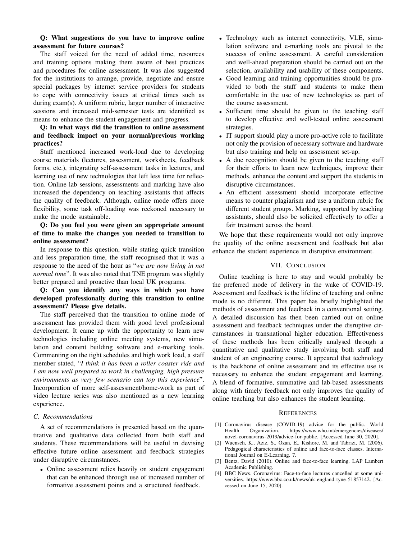## Q: What suggestions do you have to improve online assessment for future courses?

The staff voiced for the need of added time, resources and training options making them aware of best practices and procedures for online assessment. It was alos suggested for the institutions to arrange, provide, negotiate and ensure special packages by internet service providers for students to cope with connectivity issues at critical times such as during exam(s). A uniform rubric, larger number of interactive sessions and increased mid-semester tests are identified as means to enhance the student engagement and progress.

## Q: In what ways did the transition to online assessment and feedback impact on your normal/previous working practices?

Staff mentioned increased work-load due to developing course materials (lectures, assessment, worksheets, feedback forms, etc.), integrating self-assessment tasks in lectures, and learning use of new technologies that left less time for reflection. Online lab sessions, assessments and marking have also increased the dependency on teaching assistants that affects the quality of feedback. Although, online mode offers more flexibility, some task off-loading was reckoned necessary to make the mode sustainable.

## Q: Do you feel you were given an appropriate amount of time to make the changes you needed to transition to online assessment?

In response to this question, while stating quick transition and less preparation time, the staff recognised that it was a response to the need of the hour as "*we are now living in not normal time*". It was also noted that TNE program was slightly better prepared and proactive than local UK programs.

## Q: Can you identify any ways in which you have developed professionally during this transition to online assessment? Please give details.

The staff perceived that the transition to online mode of assessment has provided them with good level professional development. It came up with the opportunity to learn new technologies including online meeting systems, new simulation and content building software and e-marking tools. Commenting on the tight schedules and high work load, a staff member stated, "*I think it has been a roller coaster ride and I am now well prepared to work in challenging, high pressure environments as very few scenario can top this experience*". Incorporation of more self-assessment/home-work as part of video lecture series was also mentioned as a new learning experience.

#### *C. Recommendations*

A set of recommendations is presented based on the quantitative and qualitative data collected from both staff and students. These recommendations will be useful in devising effective future online assessment and feedback strategies under disruptive circumstances.

• Online assessment relies heavily on student engagement that can be enhanced through use of increased number of formative assessment points and a structured feedback.

- Technology such as internet connectivity, VLE, simulation software and e-marking tools are pivotal to the success of online assessment. A careful consideration and well-ahead preparation should be carried out on the selection, availability and usability of these components.
- Good learning and training opportunities should be provided to both the staff and students to make them comfortable in the use of new technologies as part of the course assessment.
- Sufficient time should be given to the teaching staff to develop effective and well-tested online assessment strategies.
- IT support should play a more pro-active role to facilitate not only the provision of necessary software and hardware but also training and help on assessment set-up.
- A due recognition should be given to the teaching staff for their efforts to learn new techniques, improve their methods, enhance the content and support the students in disruptive circumstances.
- An efficient assessment should incorporate effective means to counter plagiarism and use a uniform rubric for different student groups. Marking, supported by teaching assistants, should also be solicited effectively to offer a fair treatment across the board.

We hope that these requirements would not only improve the quality of the online assessment and feedback but also enhance the student experience in disruptive environment.

#### VII. CONCLUSION

Online teaching is here to stay and would probably be the preferred mode of delivery in the wake of COVID-19. Assessment and feedback is the lifeline of teaching and online mode is no different. This paper has briefly highlighted the methods of assessment and feedback in a conventional setting. A detailed discussion has then been carried out on online assessment and feedback techniques under the disruptive circumstances in transnational higher education. Effectiveness of these methods has been critically analysed through a quantitative and qualitative study involving both staff and student of an engineering course. It appeared that technology is the backbone of online assessment and its effective use is necessary to enhance the student engagement and learning. A blend of formative, summative and lab-based assessments along with timely feedback not only improves the quality of online teaching but also enhances the student learning.

#### **REFERENCES**

- [1] Coronavirus disease (COVID-19) advice for the public. World Health Organization. https://www.who.int/emergencies/diseases/ novel-coronavirus-2019/advice-for-public. [Accessed June 30, 2020].
- [2] Wuensch, K., Aziz, S., Ozan, E., Kishore, M. and Tabrizi, M. (2006). Pedagogical characteristics of online and face-to-face classes. International Journal on E-Learning. 7.
- [3] Bentz, David (2010). Online and face-to-face learning. LAP Lambert Academic Publishing.
- [4] BBC News. Coronavirus: Face-to-face lectures cancelled at some universities. https://www.bbc.co.uk/news/uk-england-tyne-51857142. [Accessed on June 15, 2020].